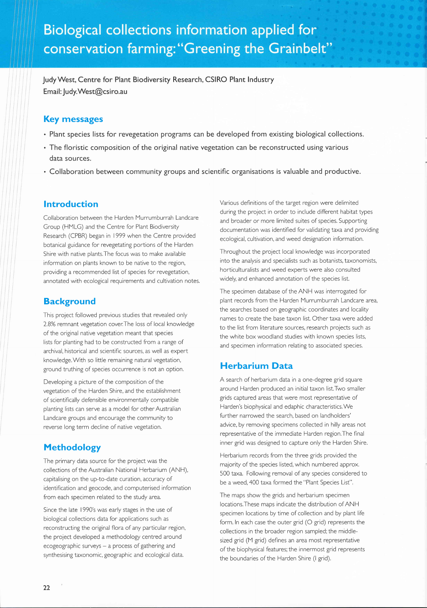JudyWest, Centre for Plant Biodiversity Research, CSIRO Plant lndustry Email: Judy.West@csiro.au

#### Key messages

- . Plant species lists for revegetation programs can be developed from existing biological collections.
- . The floristic composition of the original native vegetation can be reconstructed using various data sources.
- . Collaboration between community groups and scientific organisations is valuable and productive.

#### lntroduction

Collaboration between the Harden Murrumburrah Landcare Group (HMLG) and the Centre for Plant Biodiversity Research (CPBR) began in 1999 when the Centre provided botanical guidance for revegetating portions of the Harden Shire with native plants.The focus was to make available information on plants known to be native to the region, providing a recommended list of species for revegetation, annotated with ecological requirements and cultivation notes.

### **Background**

This project followed previous studies that revealed only 7,8% remnant vegetation cover:The loss of local knowledge of the original native vegetation meant that species lists for planting had to be constructed from a range of archival, historical and scientiflc sources, as well as expert knowledge.With so little remaining natural vegetation, ground truthing of species occurrence is not an option.

Developing a picture of the composition of the vegetation of the Harden Shire, and the establishment of scientiflcally defensible environmentally compatible planting lists can serve as a model for other Australian Landcare groups and encourage the community to reverse long term decline of native vegetation.

# Methodology

The primary data source for the project was the collections of the Australian National Herbarium (ANH), capitalising on the up-to-date curation, accuracy of identiflcation and geocode, and computerised information from each specimen related to the study area.

Since the late 1990's was early stages in the use of biological collections data for applications such as reconstructing the original flora of any particular region, the project developed a methodology centred around  $ecogeographic$  surveys  $-$  a process of gathering and synthesising taxonomic, geographic and ecological data.

Various definitions of the target region were delimited during the project in order to include different habitat types and broader or more limited suites of species, Supporting documentation was identified for validating taxa and providing ecological, cultivation, and weed designation information,

Throughout the project local knowledge was incorporated into the analysis and specialists such as botanists, taxonomists, horticulturalists and weed experts were also consulted widely, and enhanced annotation of the species list.

The specimen database of the ANH was interrogated for plant records from the Harden Murrumburrah Landcare area, the searches based on geographic coordinates and locality names to create the base taxon list. Other taxa were added to the list from literature sources, research projects such as the white box woodland studies with known species lists, and specimen information relating to associated species.

# Herbarium Data

A search of herbarium data in a one-degree grid square around Harden produced an initial taxon list.Two smaller grids captured areas that were most representative of Harden's biophysical and edaphic characteristics.We further narrowed the search, based on landholders' advice, by removing specimens collected in hilly areas not representative of the immediate Harden region,The flnal inner grid was designed to capture only the Harden Shire.

Herbarium records from the three grids provided the majority of the species listed, which numbered approx. 500 taxa. Following removal of any species considered to be a weed, 400 taxa formed the "Plant Species List".

The maps show the grids and herbarium specimen locations.These maps indicate the distribution of ANH specimen locations by time of collection and by plant life form. ln each case the outer grid (O grid) represents the collections in the broader region sampled; the middlesized grid (M grid) defines an area most representative of the biophysical features; the innermost grid represents the boundaries of the Harden Shire (l grid).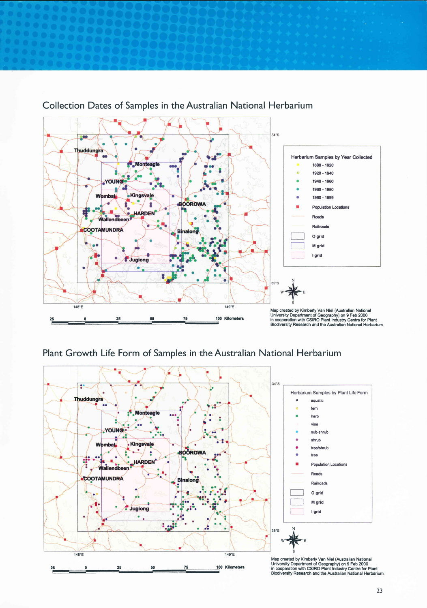

# Collection Dates of Samples in the Australian National Herbarium

# Plant Growth Life Form of Samples in the Australian National Herbarium

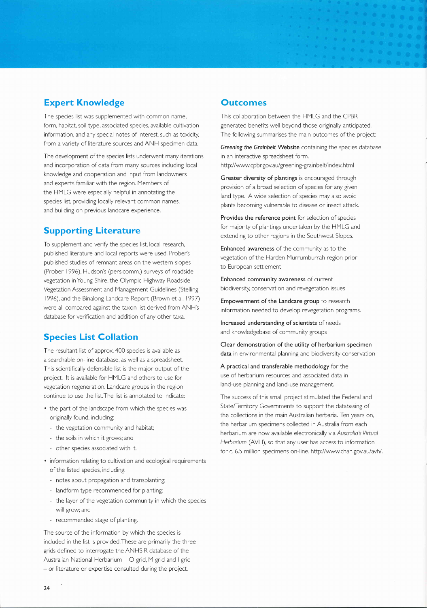# Expert Knowledge

The species list was supplemented with common name, form, habitat, soil type, associated species, available cultivation information, and any special notes of interest, such as toxicity, from a variety of literature sources and ANH specimen data.

The development of the species lists underwent many iterations and incorporation of data from many sources including local knowledge and cooperation and input from landowners and experts familiar with the region, Members of the HMLG were especially helpful in annotating the species list, providing locally relevant common names, and building on previous landcare experience.

# Supporting Literature

To supplement and verify the species list, local research, published literature and local reports were used, Prober's published studies of remnant areas on the western slopes (Prober 1996), Hudson's (pers,comm.) surveys of roadside vegetation in Young Shire, the Olympic Highway Roadside Vegetation Assessment and Management Guidelines (Stelling 1996), and the Binalong Landcare Report (Brown et al, 1997) were all compared against the taxon list derived from ANH's database for verification and addition of any other taxa.

# Species List Collation

The resultant list of approx. 400 species is available as a searchable on-line database, as well as a spreadsheet. This scientiflcally defensible list is the major output of the project. lt is available for HMLG and others to use for vegetation regeneration. Landcare groups in the region continue to use the list,The list is annotated to indicate:

- . the part of the landscape from which the species was originally found, including:
	- the vegetation community and habitat;
	- the soils in which it grows; and
	- other species associated with it,
- . information relating to cultivation and ecological requirements of the listed species, including:
	- notes about propagation and transplanting;
	- landform type recommended for planting;
	- the layer of the vegetation community in which the species will grow; and
	- recommended stage of planting.

The source of the information by which the species is included in the list is provided.These are primarily the three grids defined to interrogate the ANHSIR database of the Australian National Herbarium  $-$  O grid, M grid and I grid - or literature or expertise consulted during the project.

#### **Outcomes**

This collaboration between the HMLG and the CPBR generated beneflts well beyond those originally anticipated. The following summarises the main outcomes of the project:

Greening the Grainbelt Website containing the species database in an interactive spreadsheet form, http://www.cpbr.gov.au/greening-grainbelt/index.html

Greater diversity of plantings is encouraged through provision of a broad selection of species for any given land type. A wide selection of species may also avoid plants becoming vulnerable to disease or insect attack.

Provides the reference point for selection of species for majority of plantings undertaken by the HMLG and extending to other regions in the Southwest Slopes.

Enhanced awareness of the community as to the vegetation of the Harden Murrumburrah region prior to European settlement

Enhanced community awareness of current biodiversity, conservation and revegetation issues

Empowerment of the Landcare group to research information needed to develop revegetation programs.

lncreased understanding of scientists of needs and knowledgebase of community groups

Clear demonstration of the utility of herbarium specimen data in environmental planning and biodiversity conservation

A practical and transferable methodology for the use of herbarium resources and associated data in land-use planning and land-use management.

The success of this small project stimulated the Federal and State/Territory Governments to support the databasing of the collections in the main Australian herbaria. Ten years on, the herbarium specimens collected in Australia from each herbarium are now available electronically via Australia's Virtual Herbarium (AVH), so that any user has access to information for c. 6.5 million specimens on-line. http://www.chah.gov.au/avh/.